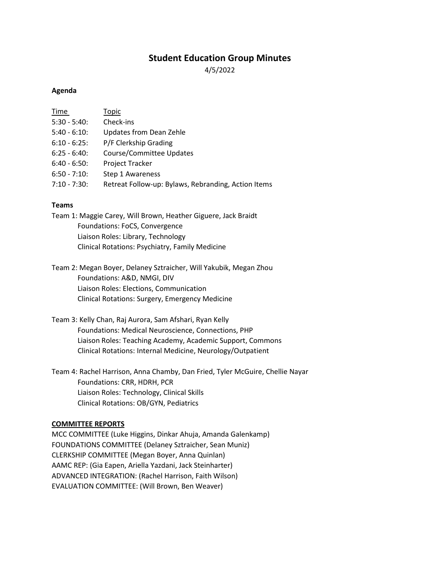# **Student Education Group Minutes**

4/5/2022

### **Agenda**

| Time            | Topic                                               |
|-----------------|-----------------------------------------------------|
| $5:30 - 5:40$ : | Check-ins                                           |
| $5:40 - 6:10$ : | <b>Updates from Dean Zehle</b>                      |
| $6:10 - 6:25$ : | P/F Clerkship Grading                               |
| $6:25 - 6:40$ : | Course/Committee Updates                            |
| $6:40 - 6:50$ : | Project Tracker                                     |
| $6:50 - 7:10$   | Step 1 Awareness                                    |
| $7:10 - 7:30$ : | Retreat Follow-up: Bylaws, Rebranding, Action Items |
|                 |                                                     |

### **Teams**

Team 1: Maggie Carey, Will Brown, Heather Giguere, Jack Braidt Foundations: FoCS, Convergence Liaison Roles: Library, Technology Clinical Rotations: Psychiatry, Family Medicine

Team 2: Megan Boyer, Delaney Sztraicher, Will Yakubik, Megan Zhou Foundations: A&D, NMGI, DIV Liaison Roles: Elections, Communication Clinical Rotations: Surgery, Emergency Medicine

Team 3: Kelly Chan, Raj Aurora, Sam Afshari, Ryan Kelly Foundations: Medical Neuroscience, Connections, PHP Liaison Roles: Teaching Academy, Academic Support, Commons Clinical Rotations: Internal Medicine, Neurology/Outpatient

Team 4: Rachel Harrison, Anna Chamby, Dan Fried, Tyler McGuire, Chellie Nayar Foundations: CRR, HDRH, PCR Liaison Roles: Technology, Clinical Skills Clinical Rotations: OB/GYN, Pediatrics

#### **COMMITTEE REPORTS**

MCC COMMITTEE (Luke Higgins, Dinkar Ahuja, Amanda Galenkamp) FOUNDATIONS COMMITTEE (Delaney Sztraicher, Sean Muniz) CLERKSHIP COMMITTEE (Megan Boyer, Anna Quinlan) AAMC REP: (Gia Eapen, Ariella Yazdani, Jack Steinharter) ADVANCED INTEGRATION: (Rachel Harrison, Faith Wilson) EVALUATION COMMITTEE: (Will Brown, Ben Weaver)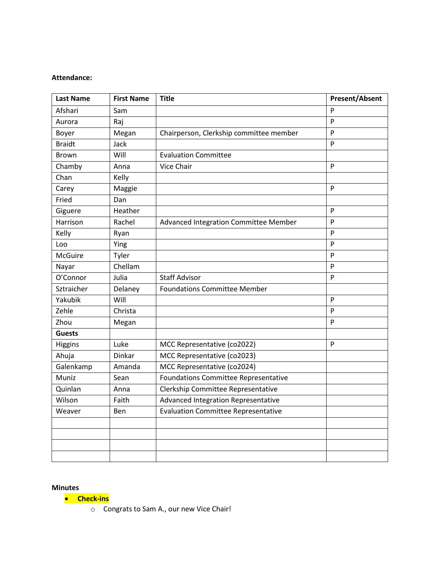### **Attendance:**

| <b>Last Name</b> | <b>First Name</b> | <b>Title</b>                                | <b>Present/Absent</b> |
|------------------|-------------------|---------------------------------------------|-----------------------|
| Afshari          | Sam               |                                             | P                     |
| Aurora           | Raj               |                                             | $\mathsf{P}$          |
| Boyer            | Megan             | Chairperson, Clerkship committee member     | P                     |
| <b>Braidt</b>    | Jack              |                                             | P                     |
| <b>Brown</b>     | Will              | <b>Evaluation Committee</b>                 |                       |
| Chamby           | Anna              | Vice Chair                                  | P                     |
| Chan             | Kelly             |                                             |                       |
| Carey            | Maggie            |                                             | $\mathsf{P}$          |
| Fried            | Dan               |                                             |                       |
| Giguere          | Heather           |                                             | P                     |
| Harrison         | Rachel            | Advanced Integration Committee Member       | $\mathsf{P}$          |
| Kelly            | Ryan              |                                             | $\mathsf{P}$          |
| Loo              | Ying              |                                             | P                     |
| <b>McGuire</b>   | Tyler             |                                             | P                     |
| Nayar            | Chellam           |                                             | $\mathsf{P}$          |
| O'Connor         | Julia             | <b>Staff Advisor</b>                        | P                     |
| Sztraicher       | Delaney           | <b>Foundations Committee Member</b>         |                       |
| Yakubik          | Will              |                                             | P                     |
| Zehle            | Christa           |                                             | P                     |
| Zhou             | Megan             |                                             | P                     |
| <b>Guests</b>    |                   |                                             |                       |
| Higgins          | Luke              | MCC Representative (co2022)                 | P                     |
| Ahuja            | <b>Dinkar</b>     | MCC Representative (co2023)                 |                       |
| Galenkamp        | Amanda            | MCC Representative (co2024)                 |                       |
| Muniz            | Sean              | <b>Foundations Committee Representative</b> |                       |
| Quinlan          | Anna              | Clerkship Committee Representative          |                       |
| Wilson           | Faith             | Advanced Integration Representative         |                       |
| Weaver           | Ben               | <b>Evaluation Committee Representative</b>  |                       |
|                  |                   |                                             |                       |
|                  |                   |                                             |                       |
|                  |                   |                                             |                       |
|                  |                   |                                             |                       |

**Minutes**

• **Check-ins**

o Congrats to Sam A., our new Vice Chair!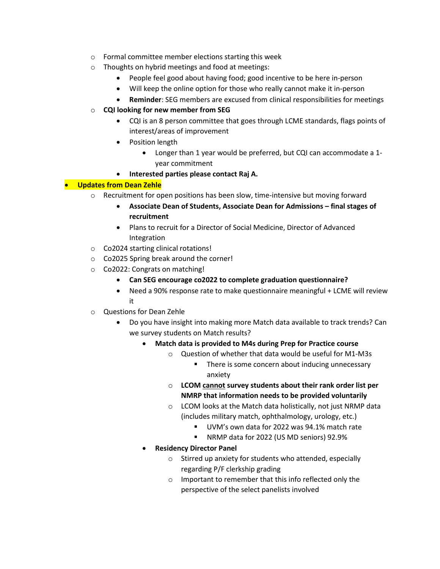- o Formal committee member elections starting this week
- o Thoughts on hybrid meetings and food at meetings:
	- People feel good about having food; good incentive to be here in-person
	- Will keep the online option for those who really cannot make it in-person
	- **Reminder**: SEG members are excused from clinical responsibilities for meetings
- o **CQI looking for new member from SEG**
	- CQI is an 8 person committee that goes through LCME standards, flags points of interest/areas of improvement
	- Position length
		- Longer than 1 year would be preferred, but CQI can accommodate a 1 year commitment
	- **Interested parties please contact Raj A.**

## • **Updates from Dean Zehle**

- $\circ$  Recruitment for open positions has been slow, time-intensive but moving forward
	- **Associate Dean of Students, Associate Dean for Admissions final stages of recruitment**
	- Plans to recruit for a Director of Social Medicine, Director of Advanced Integration
- o Co2024 starting clinical rotations!
- o Co2025 Spring break around the corner!
- o Co2022: Congrats on matching!
	- **Can SEG encourage co2022 to complete graduation questionnaire?**
	- Need a 90% response rate to make questionnaire meaningful + LCME will review it
- o Questions for Dean Zehle
	- Do you have insight into making more Match data available to track trends? Can we survey students on Match results?
		- **Match data is provided to M4s during Prep for Practice course**
			- o Question of whether that data would be useful for M1-M3s
				- There is some concern about inducing unnecessary anxiety
			- o **LCOM cannot survey students about their rank order list per NMRP that information needs to be provided voluntarily**
			- o LCOM looks at the Match data holistically, not just NRMP data (includes military match, ophthalmology, urology, etc.)
				- UVM's own data for 2022 was 94.1% match rate
				- NRMP data for 2022 (US MD seniors) 92.9%
		- **Residency Director Panel**
			- o Stirred up anxiety for students who attended, especially regarding P/F clerkship grading
			- o Important to remember that this info reflected only the perspective of the select panelists involved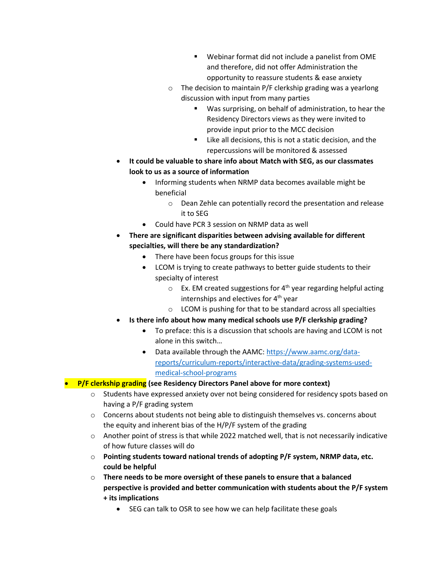- Webinar format did not include a panelist from OME and therefore, did not offer Administration the opportunity to reassure students & ease anxiety
- o The decision to maintain P/F clerkship grading was a yearlong discussion with input from many parties
	- Was surprising, on behalf of administration, to hear the Residency Directors views as they were invited to provide input prior to the MCC decision
	- Like all decisions, this is not a static decision, and the repercussions will be monitored & assessed
- **It could be valuable to share info about Match with SEG, as our classmates look to us as a source of information**
	- Informing students when NRMP data becomes available might be beneficial
		- o Dean Zehle can potentially record the presentation and release it to SEG
	- Could have PCR 3 session on NRMP data as well
- **There are significant disparities between advising available for different specialties, will there be any standardization?**
	- There have been focus groups for this issue
	- LCOM is trying to create pathways to better guide students to their specialty of interest
		- $\circ$  Ex. EM created suggestions for 4<sup>th</sup> year regarding helpful acting internships and electives for  $4<sup>th</sup>$  year
		- o LCOM is pushing for that to be standard across all specialties
- **Is there info about how many medical schools use P/F clerkship grading?**
	- To preface: this is a discussion that schools are having and LCOM is not alone in this switch…
	- Data available through the AAMC[: https://www.aamc.org/data](https://nam02.safelinks.protection.outlook.com/?url=https%3A%2F%2Fwww.aamc.org%2Fdata-reports%2Fcurriculum-reports%2Finteractive-data%2Fgrading-systems-used-medical-school-programs&data=04%7C01%7Cjohn.braidt%40med.uvm.edu%7C47ae37df480f4974353808da17521907%7Ced03ff7aba9f420480a6b226316c919d%7C0%7C0%7C637847938625607558%7CUnknown%7CTWFpbGZsb3d8eyJWIjoiMC4wLjAwMDAiLCJQIjoiV2luMzIiLCJBTiI6Ik1haWwiLCJXVCI6Mn0%3D%7C3000&sdata=FJeNEP22EU2NBqoiqMOMdNNXlyB7xRH9%2FnhZ%2BDcEehI%3D&reserved=0)[reports/curriculum-reports/interactive-data/grading-systems-used](https://nam02.safelinks.protection.outlook.com/?url=https%3A%2F%2Fwww.aamc.org%2Fdata-reports%2Fcurriculum-reports%2Finteractive-data%2Fgrading-systems-used-medical-school-programs&data=04%7C01%7Cjohn.braidt%40med.uvm.edu%7C47ae37df480f4974353808da17521907%7Ced03ff7aba9f420480a6b226316c919d%7C0%7C0%7C637847938625607558%7CUnknown%7CTWFpbGZsb3d8eyJWIjoiMC4wLjAwMDAiLCJQIjoiV2luMzIiLCJBTiI6Ik1haWwiLCJXVCI6Mn0%3D%7C3000&sdata=FJeNEP22EU2NBqoiqMOMdNNXlyB7xRH9%2FnhZ%2BDcEehI%3D&reserved=0)[medical-school-programs](https://nam02.safelinks.protection.outlook.com/?url=https%3A%2F%2Fwww.aamc.org%2Fdata-reports%2Fcurriculum-reports%2Finteractive-data%2Fgrading-systems-used-medical-school-programs&data=04%7C01%7Cjohn.braidt%40med.uvm.edu%7C47ae37df480f4974353808da17521907%7Ced03ff7aba9f420480a6b226316c919d%7C0%7C0%7C637847938625607558%7CUnknown%7CTWFpbGZsb3d8eyJWIjoiMC4wLjAwMDAiLCJQIjoiV2luMzIiLCJBTiI6Ik1haWwiLCJXVCI6Mn0%3D%7C3000&sdata=FJeNEP22EU2NBqoiqMOMdNNXlyB7xRH9%2FnhZ%2BDcEehI%3D&reserved=0)

# • **P/F clerkship grading (see Residency Directors Panel above for more context)**

- $\circ$  Students have expressed anxiety over not being considered for residency spots based on having a P/F grading system
- o Concerns about students not being able to distinguish themselves vs. concerns about the equity and inherent bias of the H/P/F system of the grading
- $\circ$  Another point of stress is that while 2022 matched well, that is not necessarily indicative of how future classes will do
- o **Pointing students toward national trends of adopting P/F system, NRMP data, etc. could be helpful**
- o **There needs to be more oversight of these panels to ensure that a balanced perspective is provided and better communication with students about the P/F system + its implications**
	- SEG can talk to OSR to see how we can help facilitate these goals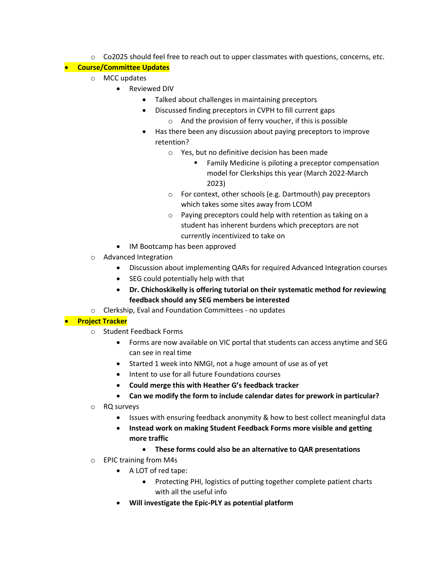$\circ$  Co2025 should feel free to reach out to upper classmates with questions, concerns, etc.

## • **Course/Committee Updates**

- o MCC updates
	- Reviewed DIV
		- Talked about challenges in maintaining preceptors
		- Discussed finding preceptors in CVPH to fill current gaps
			- o And the provision of ferry voucher, if this is possible
		- Has there been any discussion about paying preceptors to improve retention?
			- o Yes, but no definitive decision has been made
				- Family Medicine is piloting a preceptor compensation model for Clerkships this year (March 2022-March 2023)
			- o For context, other schools (e.g. Dartmouth) pay preceptors which takes some sites away from LCOM
			- o Paying preceptors could help with retention as taking on a student has inherent burdens which preceptors are not currently incentivized to take on
	- IM Bootcamp has been approved
- o Advanced Integration
	- Discussion about implementing QARs for required Advanced Integration courses
	- SEG could potentially help with that
	- **Dr. Chichoskikelly is offering tutorial on their systematic method for reviewing feedback should any SEG members be interested**
- o Clerkship, Eval and Foundation Committees no updates

## • **Project Tracker**

- o Student Feedback Forms
	- Forms are now available on VIC portal that students can access anytime and SEG can see in real time
	- Started 1 week into NMGI, not a huge amount of use as of yet
	- Intent to use for all future Foundations courses
	- **Could merge this with Heather G's feedback tracker**
	- **Can we modify the form to include calendar dates for prework in particular?**
- o RQ surveys
	- Issues with ensuring feedback anonymity & how to best collect meaningful data
	- **Instead work on making Student Feedback Forms more visible and getting more traffic**
		- **These forms could also be an alternative to QAR presentations**
- o EPIC training from M4s
	- A LOT of red tape:
		- Protecting PHI, logistics of putting together complete patient charts with all the useful info
	- **Will investigate the Epic-PLY as potential platform**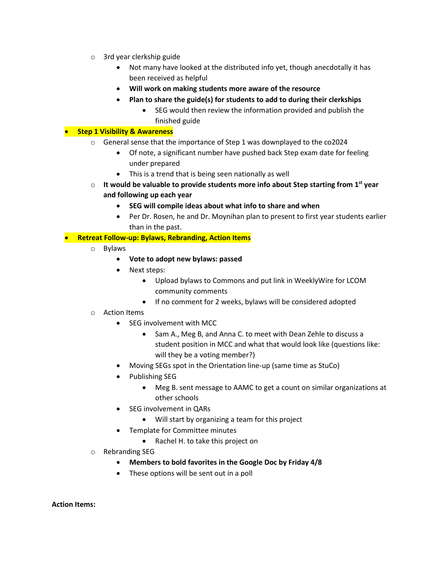- o 3rd year clerkship guide
	- Not many have looked at the distributed info yet, though anecdotally it has been received as helpful
	- **Will work on making students more aware of the resource**
	- **Plan to share the guide(s) for students to add to during their clerkships**
		- SEG would then review the information provided and publish the finished guide

## • **Step 1 Visibility & Awareness**

- o General sense that the importance of Step 1 was downplayed to the co2024
	- Of note, a significant number have pushed back Step exam date for feeling under prepared
	- This is a trend that is being seen nationally as well
- o **It would be valuable to provide students more info about Step starting from 1st year and following up each year**
	- **SEG will compile ideas about what info to share and when**
	- Per Dr. Rosen, he and Dr. Moynihan plan to present to first year students earlier than in the past.

## • **Retreat Follow-up: Bylaws, Rebranding, Action Items**

- o Bylaws
	- **Vote to adopt new bylaws: passed**
	- Next steps:
		- Upload bylaws to Commons and put link in WeeklyWire for LCOM community comments
		- If no comment for 2 weeks, bylaws will be considered adopted
- o Action Items
	- SEG involvement with MCC
		- Sam A., Meg B, and Anna C. to meet with Dean Zehle to discuss a student position in MCC and what that would look like (questions like: will they be a voting member?)
	- Moving SEGs spot in the Orientation line-up (same time as StuCo)
	- Publishing SEG
		- Meg B. sent message to AAMC to get a count on similar organizations at other schools
	- SEG involvement in QARs
		- Will start by organizing a team for this project
	- Template for Committee minutes
		- Rachel H. to take this project on
- o Rebranding SEG
	- **Members to bold favorites in the Google Doc by Friday 4/8**
	- These options will be sent out in a poll

**Action Items:**